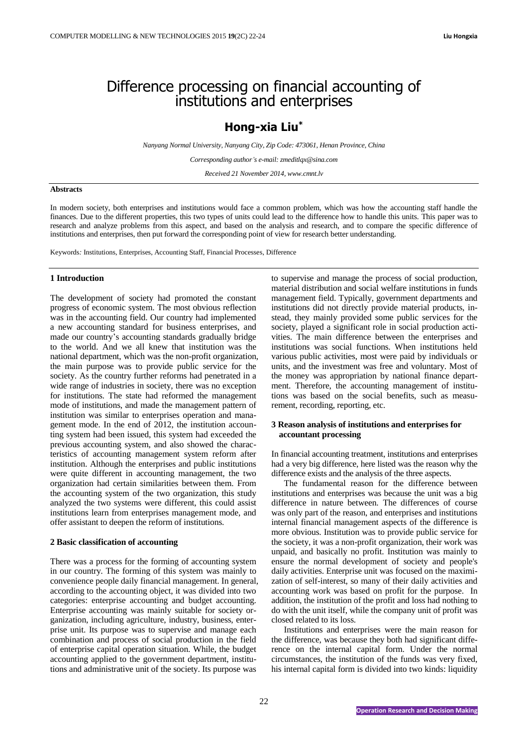# Difference processing on financial accounting of institutions and enterprises

# **Hong-xia Liu\***

*Nanyang Normal University, Nanyang City, Zip Code: 473061, Henan Province, China*

*Corresponding author's e-mail: zmeditlqx@sina.com*

*Received 21 November 2014, www.cmnt.lv*

# **Abstracts**

In modern society, both enterprises and institutions would face a common problem, which was how the accounting staff handle the finances. Due to the different properties, this two types of units could lead to the difference how to handle this units. This paper was to research and analyze problems from this aspect, and based on the analysis and research, and to compare the specific difference of institutions and enterprises, then put forward the corresponding point of view for research better understanding.

Keywords*:* Institutions, Enterprises, Accounting Staff, Financial Processes, Difference

#### **1 Introduction**

The development of society had promoted the constant progress of economic system. The most obvious reflection was in the accounting field. Our country had implemented a new accounting standard for business enterprises, and made our country's accounting standards gradually bridge to the world. And we all knew that institution was the national department, which was the non-profit organization, the main purpose was to provide public service for the society. As the country further reforms had penetrated in a wide range of industries in society, there was no exception for institutions. The state had reformed the management mode of institutions, and made the management pattern of institution was similar to enterprises operation and management mode. In the end of 2012, the institution accounting system had been issued, this system had exceeded the previous accounting system, and also showed the characteristics of accounting management system reform after institution. Although the enterprises and public institutions were quite different in accounting management, the two organization had certain similarities between them. From the accounting system of the two organization, this study analyzed the two systems were different, this could assist institutions learn from enterprises management mode, and offer assistant to deepen the reform of institutions.

#### **2 Basic classification of accounting**

There was a process for the forming of accounting system in our country. The forming of this system was mainly to convenience people daily financial management. In general, according to the accounting object, it was divided into two categories: enterprise accounting and budget accounting. Enterprise accounting was mainly suitable for society organization, including agriculture, industry, business, enterprise unit. Its purpose was to supervise and manage each combination and process of social production in the field of enterprise capital operation situation. While, the budget accounting applied to the government department, institutions and administrative unit of the society. Its purpose was

to supervise and manage the process of social production, material distribution and social welfare institutions in funds management field. Typically, government departments and institutions did not directly provide material products, instead, they mainly provided some public services for the society, played a significant role in social production activities. The main difference between the enterprises and institutions was social functions. When institutions held various public activities, most were paid by individuals or units, and the investment was free and voluntary. Most of the money was appropriation by national finance department. Therefore, the accounting management of institutions was based on the social benefits, such as measurement, recording, reporting, etc.

#### **3 Reason analysis of institutions and enterprises for accountant processing**

In financial accounting treatment, institutions and enterprises had a very big difference, here listed was the reason why the difference exists and the analysis of the three aspects.

The fundamental reason for the difference between institutions and enterprises was because the unit was a big difference in nature between. The differences of course was only part of the reason, and enterprises and institutions internal financial management aspects of the difference is more obvious. Institution was to provide public service for the society, it was a non-profit organization, their work was unpaid, and basically no profit. Institution was mainly to ensure the normal development of society and people's daily activities. Enterprise unit was focused on the maximization of self-interest, so many of their daily activities and accounting work was based on profit for the purpose. In addition, the institution of the profit and loss had nothing to do with the unit itself, while the company unit of profit was closed related to its loss.

Institutions and enterprises were the main reason for the difference, was because they both had significant difference on the internal capital form. Under the normal circumstances, the institution of the funds was very fixed, his internal capital form is divided into two kinds: liquidity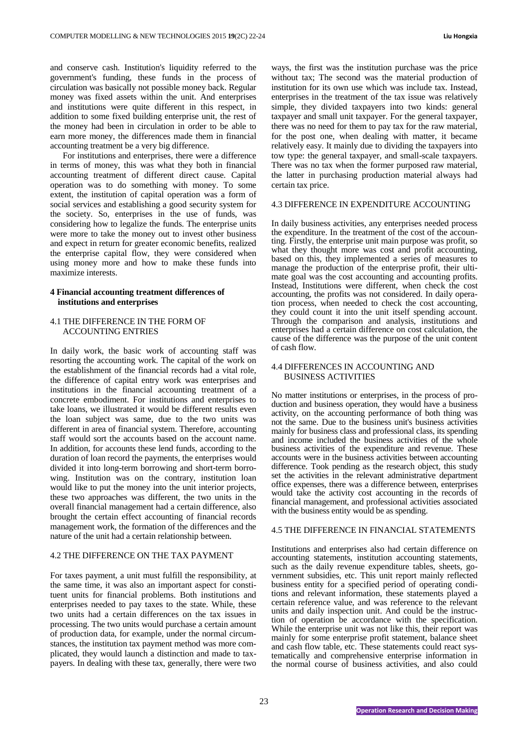and conserve cash. Institution's liquidity referred to the government's funding, these funds in the process of circulation was basically not possible money back. Regular money was fixed assets within the unit. And enterprises and institutions were quite different in this respect, in addition to some fixed building enterprise unit, the rest of the money had been in circulation in order to be able to earn more money, the differences made them in financial accounting treatment be a very big difference.

For institutions and enterprises, there were a difference in terms of money, this was what they both in financial accounting treatment of different direct cause. Capital operation was to do something with money. To some extent, the institution of capital operation was a form of social services and establishing a good security system for the society. So, enterprises in the use of funds, was considering how to legalize the funds. The enterprise units were more to take the money out to invest other business and expect in return for greater economic benefits, realized the enterprise capital flow, they were considered when using money more and how to make these funds into maximize interests.

# **4 Financial accounting treatment differences of institutions and enterprises**

# 4.1 THE DIFFERENCE IN THE FORM OF ACCOUNTING ENTRIES

In daily work, the basic work of accounting staff was resorting the accounting work. The capital of the work on the establishment of the financial records had a vital role, the difference of capital entry work was enterprises and institutions in the financial accounting treatment of a concrete embodiment. For institutions and enterprises to take loans, we illustrated it would be different results even the loan subject was same, due to the two units was different in area of financial system. Therefore, accounting staff would sort the accounts based on the account name. In addition, for accounts these lend funds, according to the duration of loan record the payments, the enterprises would divided it into long-term borrowing and short-term borrowing. Institution was on the contrary, institution loan would like to put the money into the unit interior projects, these two approaches was different, the two units in the overall financial management had a certain difference, also brought the certain effect accounting of financial records management work, the formation of the differences and the nature of the unit had a certain relationship between.

# 4.2 THE DIFFERENCE ON THE TAX PAYMENT

For taxes payment, a unit must fulfill the responsibility, at the same time, it was also an important aspect for constituent units for financial problems. Both institutions and enterprises needed to pay taxes to the state. While, these two units had a certain differences on the tax issues in processing. The two units would purchase a certain amount of production data, for example, under the normal circumstances, the institution tax payment method was more complicated, they would launch a distinction and made to taxpayers. In dealing with these tax, generally, there were two

ways, the first was the institution purchase was the price without tax; The second was the material production of institution for its own use which was include tax. Instead, enterprises in the treatment of the tax issue was relatively simple, they divided taxpayers into two kinds: general taxpayer and small unit taxpayer. For the general taxpayer, there was no need for them to pay tax for the raw material, for the post one, when dealing with matter, it became relatively easy. It mainly due to dividing the taxpayers into tow type: the general taxpayer, and small-scale taxpayers. There was no tax when the former purposed raw material, the latter in purchasing production material always had certain tax price.

### 4.3 DIFFERENCE IN EXPENDITURE ACCOUNTING

In daily business activities, any enterprises needed process the expenditure. In the treatment of the cost of the accounting. Firstly, the enterprise unit main purpose was profit, so what they thought more was cost and profit accounting, based on this, they implemented a series of measures to manage the production of the enterprise profit, their ultimate goal was the cost accounting and accounting profits. Instead, Institutions were different, when check the cost accounting, the profits was not considered. In daily operation process, when needed to check the cost accounting, they could count it into the unit itself spending account. Through the comparison and analysis, institutions and enterprises had a certain difference on cost calculation, the cause of the difference was the purpose of the unit content of cash flow.

# 4.4 DIFFERENCES IN ACCOUNTING AND BUSINESS ACTIVITIES

No matter institutions or enterprises, in the process of production and business operation, they would have a business activity, on the accounting performance of both thing was not the same. Due to the business unit's business activities mainly for business class and professional class, its spending and income included the business activities of the whole business activities of the expenditure and revenue. These accounts were in the business activities between accounting difference. Took pending as the research object, this study set the activities in the relevant administrative department office expenses, there was a difference between, enterprises would take the activity cost accounting in the records of financial management, and professional activities associated with the business entity would be as spending.

# 4.5 THE DIFFERENCE IN FINANCIAL STATEMENTS

Institutions and enterprises also had certain difference on accounting statements, institution accounting statements, such as the daily revenue expenditure tables, sheets, government subsidies, etc. This unit report mainly reflected business entity for a specified period of operating conditions and relevant information, these statements played a certain reference value, and was reference to the relevant units and daily inspection unit. And could be the instruction of operation be accordance with the specification. While the enterprise unit was not like this, their report was mainly for some enterprise profit statement, balance sheet and cash flow table, etc. These statements could react systematically and comprehensive enterprise information in the normal course of business activities, and also could